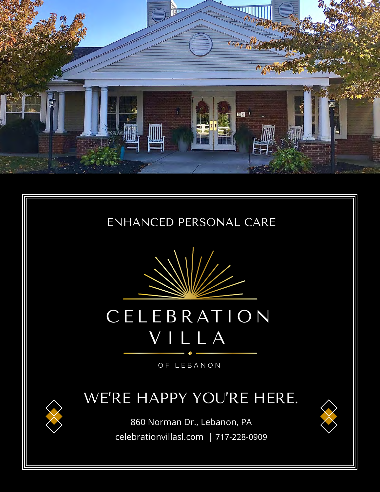





# CELEB RAT ION VILLA

OF LEBANON

### WE'RE HAPPY YOU'RE HERE.

860 Norman Dr., Lebanon, PA celebrationvillasl.com | 717-228-0909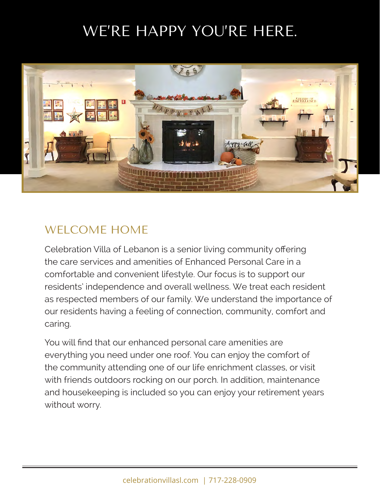## WE'RE HAPPY YOU'RE HERE.



#### WELCOME HOME

Celebration Villa of Lebanon is a senior living community offering the care services and amenities of Enhanced Personal Care in a comfortable and convenient lifestyle. Our focus is to support our residents' independence and overall wellness. We treat each resident as respected members of our family. We understand the importance of our residents having a feeling of connection, community, comfort and caring.

You will find that our enhanced personal care amenities are everything you need under one roof. You can enjoy the comfort of the community attending one of our life enrichment classes, or visit with friends outdoors rocking on our porch. In addition, maintenance and housekeeping is included so you can enjoy your retirement years without worry.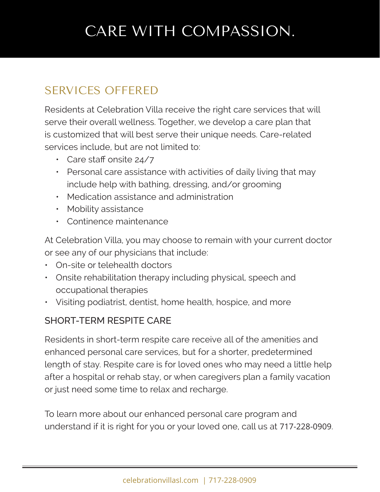## CARE WITH COMPASSION.

#### SERVICES OFFERED

Residents at Celebration Villa receive the right care services that will serve their overall wellness. Together, we develop a care plan that is customized that will best serve their unique needs. Care-related services include, but are not limited to:

- Care staff onsite 24/7
- Personal care assistance with activities of daily living that may include help with bathing, dressing, and/or grooming
- Medication assistance and administration
- Mobility assistance
- Continence maintenance

At Celebration Villa, you may choose to remain with your current doctor or see any of our physicians that include:

- On-site or telehealth doctors
- Onsite rehabilitation therapy including physical, speech and occupational therapies
- Visiting podiatrist, dentist, home health, hospice, and more

#### SHORT-TERM RESPITE CARE

Residents in short-term respite care receive all of the amenities and enhanced personal care services, but for a shorter, predetermined length of stay. Respite care is for loved ones who may need a little help after a hospital or rehab stay, or when caregivers plan a family vacation or just need some time to relax and recharge.

To learn more about our enhanced personal care program and understand if it is right for you or your loved one, call us at 717-228-0909.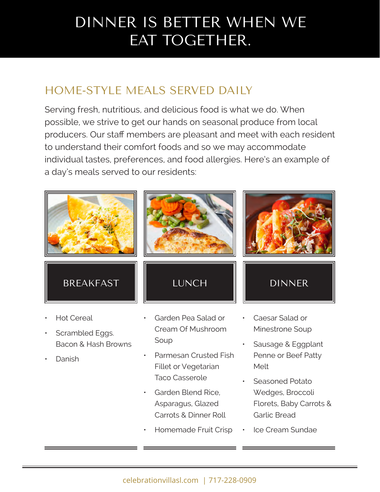## DINNER IS BETTER WHEN WE EAT TOGETHER.

### HOME-STYLE MEALS SERVED DAILY

Serving fresh, nutritious, and delicious food is what we do. When possible, we strive to get our hands on seasonal produce from local producers. Our staff members are pleasant and meet with each resident to understand their comfort foods and so we may accommodate individual tastes, preferences, and food allergies. Here's an example of a day's meals served to our residents:



- Scrambled Eggs. Bacon & Hash Browns
- Danish

Cream Of Mushroom Soup

- Parmesan Crusted Fish Fillet or Vegetarian Taco Casserole
- Garden Blend Rice, Asparagus, Glazed Carrots & Dinner Roll
- Homemade Fruit Crisp
- Minestrone Soup
- Sausage & Eggplant Penne or Beef Patty Melt
- Seasoned Potato Wedges, Broccoli Florets, Baby Carrots & Garlic Bread
- Ice Cream Sundae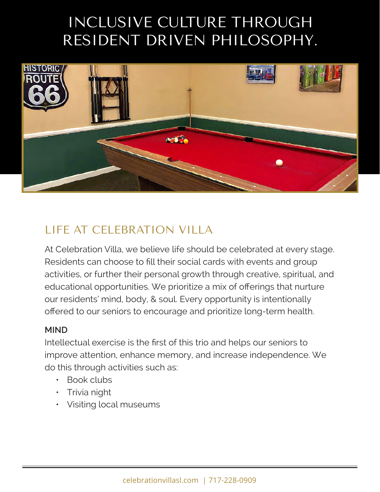## INCLUSIVE CULTURE THROUGH RESIDENT DRIVEN PHILOSOPHY.



#### LIFE AT CELEBRATION VILLA

At Celebration Villa, we believe life should be celebrated at every stage. Residents can choose to fill their social cards with events and group activities, or further their personal growth through creative, spiritual, and educational opportunities. We prioritize a mix of offerings that nurture our residents' mind, body, & soul. Every opportunity is intentionally offered to our seniors to encourage and prioritize long-term health.

#### **MIND**

Intellectual exercise is the first of this trio and helps our seniors to improve attention, enhance memory, and increase independence. We do this through activities such as:

- Book clubs
- Trivia night
- Visiting local museums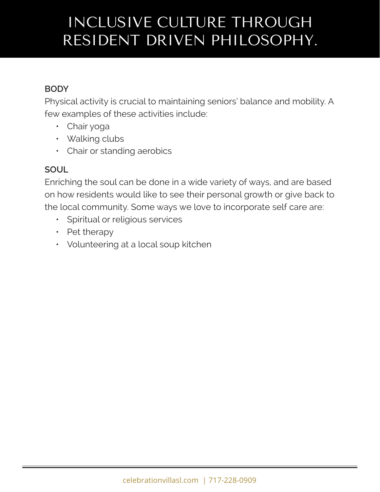## INCLUSIVE CULTURE THROUGH RESIDENT DRIVEN PHILOSOPHY.

#### **BODY**

Physical activity is crucial to maintaining seniors' balance and mobility. A few examples of these activities include:

- Chair yoga
- Walking clubs
- Chair or standing aerobics

#### **SOUL**

Enriching the soul can be done in a wide variety of ways, and are based on how residents would like to see their personal growth or give back to the local community. Some ways we love to incorporate self care are:

- Spiritual or religious services
- Pet therapy
- Volunteering at a local soup kitchen